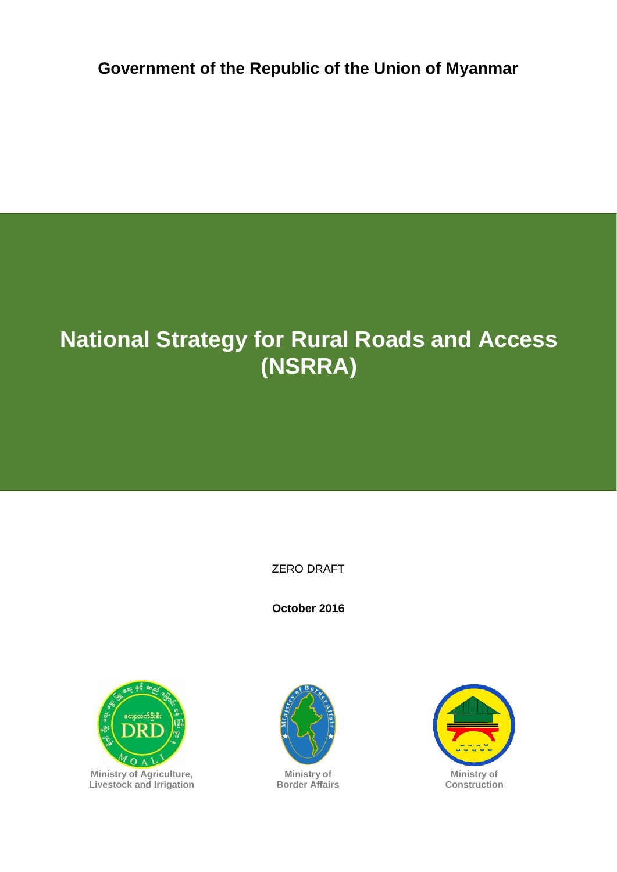**Government of the Republic of the Union of Myanmar**

# **National Strategy for Rural Roads and Access (NSRRA)**

ZERO DRAFT

**October 2016**





**Ministry of Border Affairs**



**Ministry of Construction**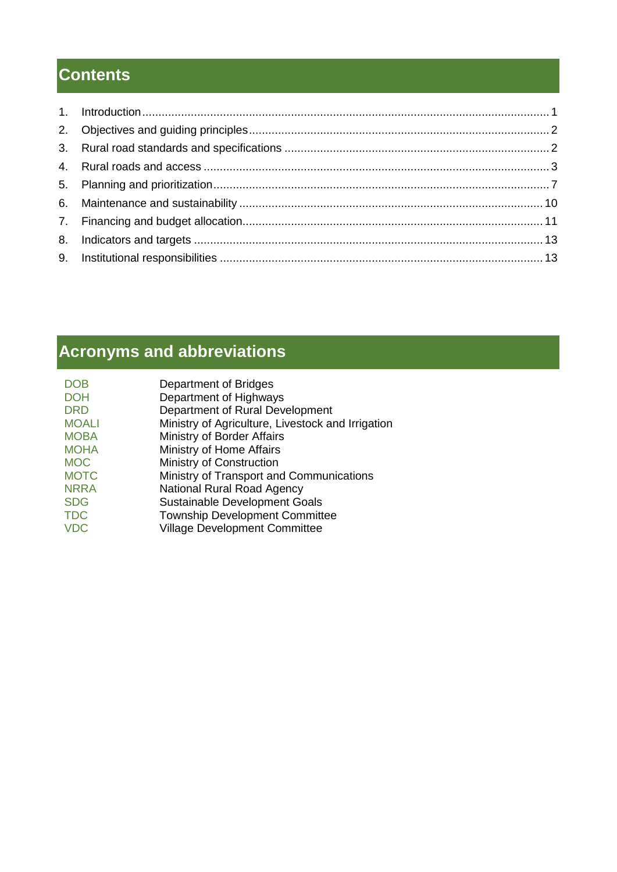# **Contents**

# **Acronyms and abbreviations**

| <b>DOB</b>   | Department of Bridges                             |
|--------------|---------------------------------------------------|
| <b>DOH</b>   | Department of Highways                            |
| <b>DRD</b>   | Department of Rural Development                   |
| <b>MOALI</b> | Ministry of Agriculture, Livestock and Irrigation |
| <b>MOBA</b>  | Ministry of Border Affairs                        |
| <b>MOHA</b>  | Ministry of Home Affairs                          |
| <b>MOC</b>   | Ministry of Construction                          |
| <b>MOTC</b>  | Ministry of Transport and Communications          |
| <b>NRRA</b>  | <b>National Rural Road Agency</b>                 |
| <b>SDG</b>   | <b>Sustainable Development Goals</b>              |
| <b>TDC</b>   | <b>Township Development Committee</b>             |
| <b>VDC</b>   | <b>Village Development Committee</b>              |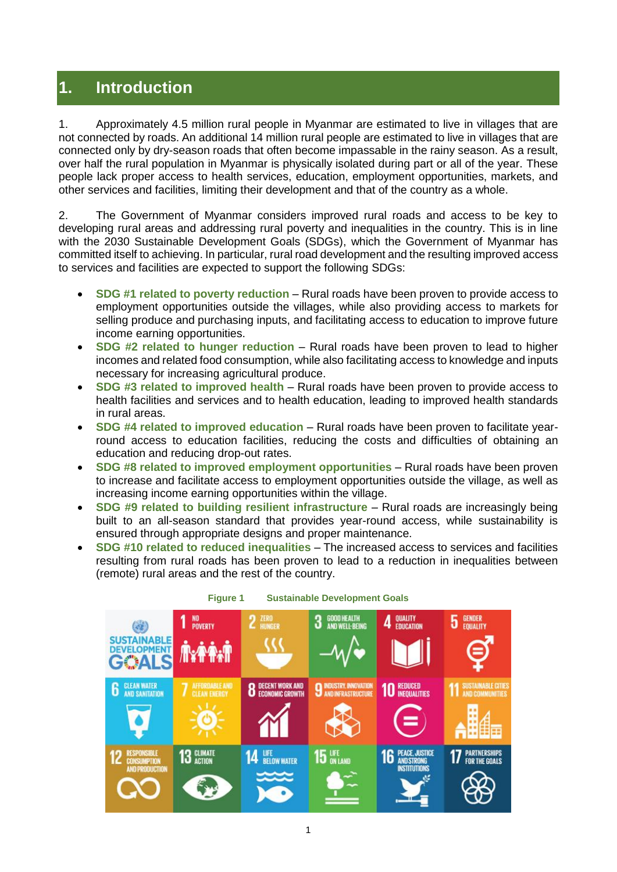# <span id="page-2-0"></span>**1. Introduction**

1. Approximately 4.5 million rural people in Myanmar are estimated to live in villages that are not connected by roads. An additional 14 million rural people are estimated to live in villages that are connected only by dry-season roads that often become impassable in the rainy season. As a result, over half the rural population in Myanmar is physically isolated during part or all of the year. These people lack proper access to health services, education, employment opportunities, markets, and other services and facilities, limiting their development and that of the country as a whole.

2. The Government of Myanmar considers improved rural roads and access to be key to developing rural areas and addressing rural poverty and inequalities in the country. This is in line with the 2030 Sustainable Development Goals (SDGs), which the Government of Myanmar has committed itself to achieving. In particular, rural road development and the resulting improved access to services and facilities are expected to support the following SDGs:

- **SDG #1 related to poverty reduction** Rural roads have been proven to provide access to employment opportunities outside the villages, while also providing access to markets for selling produce and purchasing inputs, and facilitating access to education to improve future income earning opportunities.
- **SDG #2 related to hunger reduction** Rural roads have been proven to lead to higher incomes and related food consumption, while also facilitating access to knowledge and inputs necessary for increasing agricultural produce.
- **SDG #3 related to improved health** Rural roads have been proven to provide access to health facilities and services and to health education, leading to improved health standards in rural areas.
- **SDG #4 related to improved education** Rural roads have been proven to facilitate yearround access to education facilities, reducing the costs and difficulties of obtaining an education and reducing drop-out rates.
- **SDG #8 related to improved employment opportunities** Rural roads have been proven to increase and facilitate access to employment opportunities outside the village, as well as increasing income earning opportunities within the village.
- **SDG #9 related to building resilient infrastructure** Rural roads are increasingly being built to an all-season standard that provides year-round access, while sustainability is ensured through appropriate designs and proper maintenance.
- **SDG #10 related to reduced inequalities** The increased access to services and facilities resulting from rural roads has been proven to lead to a reduction in inequalities between (remote) rural areas and the rest of the country.



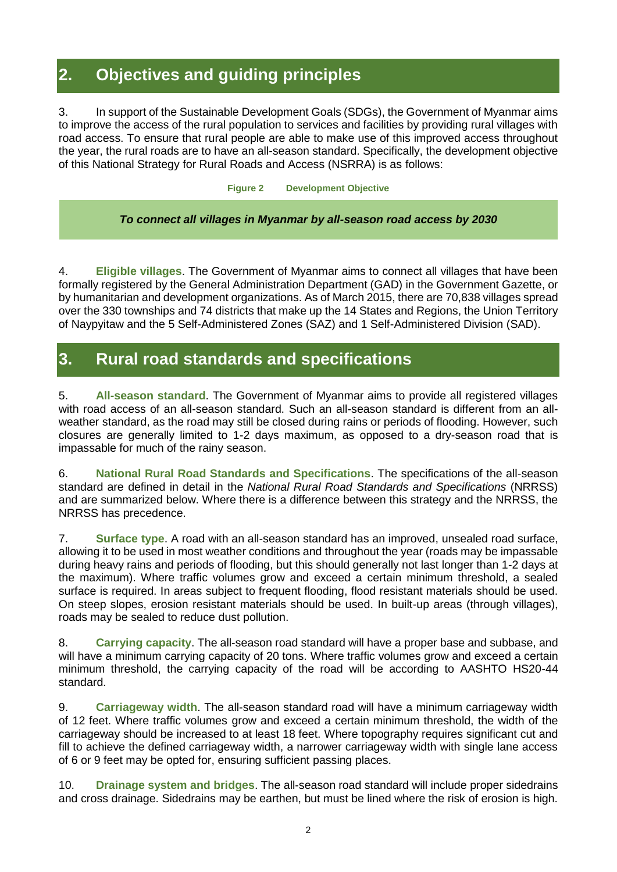# <span id="page-3-0"></span>**2. Objectives and guiding principles**

3. In support of the Sustainable Development Goals (SDGs), the Government of Myanmar aims to improve the access of the rural population to services and facilities by providing rural villages with road access. To ensure that rural people are able to make use of this improved access throughout the year, the rural roads are to have an all-season standard. Specifically, the development objective of this National Strategy for Rural Roads and Access (NSRRA) is as follows:

**Figure 2 Development Objective**

#### *To connect all villages in Myanmar by all-season road access by 2030*

4. **Eligible villages**. The Government of Myanmar aims to connect all villages that have been formally registered by the General Administration Department (GAD) in the Government Gazette, or by humanitarian and development organizations. As of March 2015, there are 70,838 villages spread over the 330 townships and 74 districts that make up the 14 States and Regions, the Union Territory of Naypyitaw and the 5 Self-Administered Zones (SAZ) and 1 Self-Administered Division (SAD).

### <span id="page-3-1"></span>**3. Rural road standards and specifications**

5. **All-season standard**. The Government of Myanmar aims to provide all registered villages with road access of an all-season standard. Such an all-season standard is different from an allweather standard, as the road may still be closed during rains or periods of flooding. However, such closures are generally limited to 1-2 days maximum, as opposed to a dry-season road that is impassable for much of the rainy season.

6. **National Rural Road Standards and Specifications**. The specifications of the all-season standard are defined in detail in the *National Rural Road Standards and Specifications* (NRRSS) and are summarized below. Where there is a difference between this strategy and the NRRSS, the NRRSS has precedence.

7. **Surface type**. A road with an all-season standard has an improved, unsealed road surface, allowing it to be used in most weather conditions and throughout the year (roads may be impassable during heavy rains and periods of flooding, but this should generally not last longer than 1-2 days at the maximum). Where traffic volumes grow and exceed a certain minimum threshold, a sealed surface is required. In areas subject to frequent flooding, flood resistant materials should be used. On steep slopes, erosion resistant materials should be used. In built-up areas (through villages), roads may be sealed to reduce dust pollution.

8. **Carrying capacity**. The all-season road standard will have a proper base and subbase, and will have a minimum carrying capacity of 20 tons. Where traffic volumes grow and exceed a certain minimum threshold, the carrying capacity of the road will be according to AASHTO HS20-44 standard.

9. **Carriageway width**. The all-season standard road will have a minimum carriageway width of 12 feet. Where traffic volumes grow and exceed a certain minimum threshold, the width of the carriageway should be increased to at least 18 feet. Where topography requires significant cut and fill to achieve the defined carriageway width, a narrower carriageway width with single lane access of 6 or 9 feet may be opted for, ensuring sufficient passing places.

10. **Drainage system and bridges**. The all-season road standard will include proper sidedrains and cross drainage. Sidedrains may be earthen, but must be lined where the risk of erosion is high.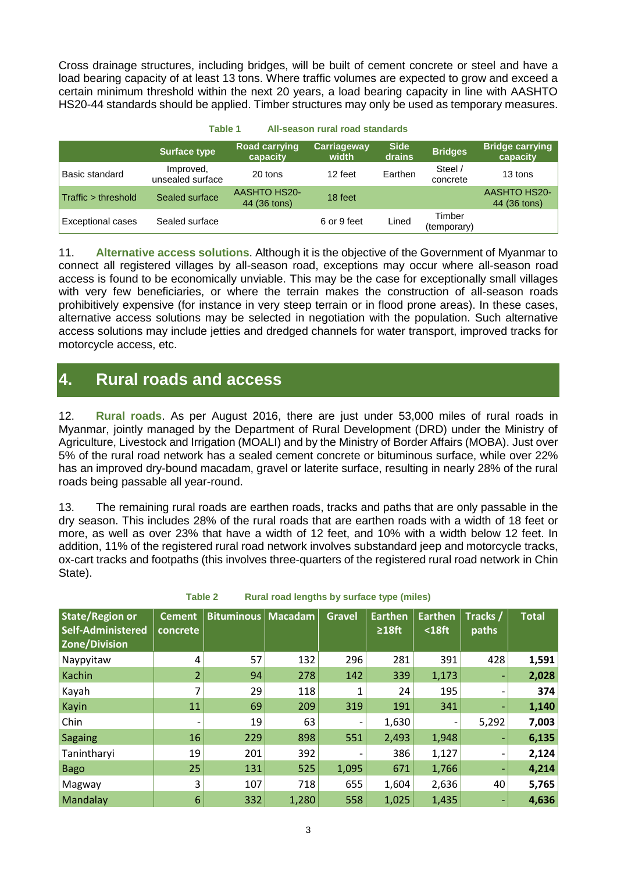Cross drainage structures, including bridges, will be built of cement concrete or steel and have a load bearing capacity of at least 13 tons. Where traffic volumes are expected to grow and exceed a certain minimum threshold within the next 20 years, a load bearing capacity in line with AASHTO HS20-44 standards should be applied. Timber structures may only be used as temporary measures.

|                          | ravie i<br>All-Seasult fural fuau staffuarus |                                     |                             |                       |                       |                                     |  |  |  |  |  |  |
|--------------------------|----------------------------------------------|-------------------------------------|-----------------------------|-----------------------|-----------------------|-------------------------------------|--|--|--|--|--|--|
|                          | Surface type                                 | <b>Road carrying</b><br>capacity    | <b>Carriageway</b><br>width | <b>Side</b><br>drains | <b>Bridges</b>        | <b>Bridge carrying</b><br>capacity  |  |  |  |  |  |  |
| Basic standard           | Improved,<br>unsealed surface                | 20 tons                             | 12 feet                     | Earthen               | Steel /<br>concrete   | 13 tons                             |  |  |  |  |  |  |
| Traffic > threshold      | Sealed surface                               | <b>AASHTO HS20-</b><br>44 (36 tons) | 18 feet                     |                       |                       | <b>AASHTO HS20-</b><br>44 (36 tons) |  |  |  |  |  |  |
| <b>Exceptional cases</b> | Sealed surface                               |                                     | 6 or 9 feet                 | Lined                 | Timber<br>(temporary) |                                     |  |  |  |  |  |  |

**Table 1 All-season rural road standards**

11. **Alternative access solutions**. Although it is the objective of the Government of Myanmar to connect all registered villages by all-season road, exceptions may occur where all-season road access is found to be economically unviable. This may be the case for exceptionally small villages with very few beneficiaries, or where the terrain makes the construction of all-season roads prohibitively expensive (for instance in very steep terrain or in flood prone areas). In these cases, alternative access solutions may be selected in negotiation with the population. Such alternative access solutions may include jetties and dredged channels for water transport, improved tracks for motorcycle access, etc.

## <span id="page-4-0"></span>**4. Rural roads and access**

12. **Rural roads**. As per August 2016, there are just under 53,000 miles of rural roads in Myanmar, jointly managed by the Department of Rural Development (DRD) under the Ministry of Agriculture, Livestock and Irrigation (MOALI) and by the Ministry of Border Affairs (MOBA). Just over 5% of the rural road network has a sealed cement concrete or bituminous surface, while over 22% has an improved dry-bound macadam, gravel or laterite surface, resulting in nearly 28% of the rural roads being passable all year-round.

13. The remaining rural roads are earthen roads, tracks and paths that are only passable in the dry season. This includes 28% of the rural roads that are earthen roads with a width of 18 feet or more, as well as over 23% that have a width of 12 feet, and 10% with a width below 12 feet. In addition, 11% of the registered rural road network involves substandard jeep and motorcycle tracks, ox-cart tracks and footpaths (this involves three-quarters of the registered rural road network in Chin State).

| <b>State/Region or</b><br>Self-Administered<br><b>Zone/Division</b> | <b>Cement</b><br>concrete | <b>Bituminous   Macadam</b> |       | <b>Gravel</b> | <b>Earthen</b><br>$\geq 18$ ft | <b>Earthen</b><br>$18ft$ | Tracks /<br>paths | <b>Total</b> |
|---------------------------------------------------------------------|---------------------------|-----------------------------|-------|---------------|--------------------------------|--------------------------|-------------------|--------------|
| Naypyitaw                                                           | 4                         | 57                          | 132   | 296           | 281                            | 391                      | 428               | 1,591        |
| Kachin                                                              | $\overline{2}$            | 94                          | 278   | 142           | 339                            | 1,173                    | ٠                 | 2,028        |
| Kayah                                                               |                           | 29                          | 118   |               | 24                             | 195                      | -                 | 374          |
| Kayin                                                               | 11                        | 69                          | 209   | 319           | 191                            | 341                      | ٠                 | 1,140        |
| Chin                                                                |                           | 19                          | 63    |               | 1,630                          |                          | 5,292             | 7,003        |
| Sagaing                                                             | 16                        | 229                         | 898   | 551           | 2,493                          | 1,948                    | ٠                 | 6,135        |
| Tanintharyi                                                         | 19                        | 201                         | 392   |               | 386                            | 1,127                    | -                 | 2,124        |
| <b>Bago</b>                                                         | 25                        | 131                         | 525   | 1,095         | 671                            | 1,766                    | ٠                 | 4,214        |
| Magway                                                              | 3                         | 107                         | 718   | 655           | 1,604                          | 2,636                    | 40                | 5,765        |
| Mandalay                                                            | 6                         | 332                         | 1,280 | 558           | 1,025                          | 1,435                    | ٠                 | 4,636        |

**Table 2 Rural road lengths by surface type (miles)**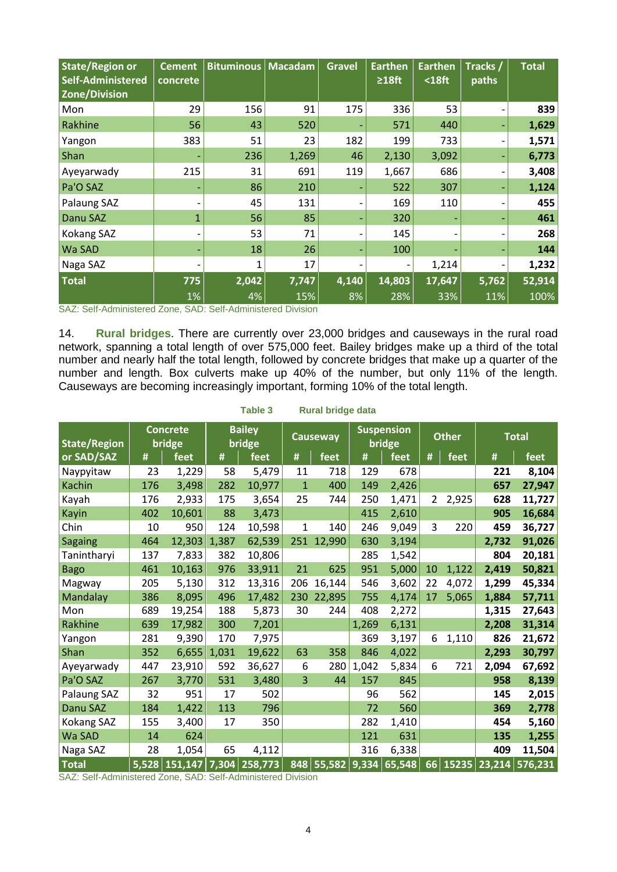| <b>State/Region or</b><br>Self-Administered<br><b>Zone/Division</b> | <b>Cement</b><br>concrete | <b>Bituminous   Macadam</b> |       | <b>Gravel</b> | <b>Earthen</b><br>$\geq 18$ ft | <b>Earthen</b><br>$18ft$ | Tracks /<br>paths | <b>Total</b> |
|---------------------------------------------------------------------|---------------------------|-----------------------------|-------|---------------|--------------------------------|--------------------------|-------------------|--------------|
| Mon                                                                 | 29                        | 156                         | 91    | 175           | 336                            | 53                       |                   | 839          |
| Rakhine                                                             | 56                        | 43                          | 520   |               | 571                            | 440                      | ٠                 | 1,629        |
| Yangon                                                              | 383                       | 51                          | 23    | 182           | 199                            | 733                      | -                 | 1,571        |
| Shan                                                                |                           | 236                         | 1,269 | 46            | 2,130                          | 3,092                    | ۰                 | 6,773        |
| Ayeyarwady                                                          | 215                       | 31                          | 691   | 119           | 1,667                          | 686                      | -                 | 3,408        |
| Pa'O SAZ                                                            |                           | 86                          | 210   |               | 522                            | 307                      | ٠                 | 1,124        |
| Palaung SAZ                                                         |                           | 45                          | 131   |               | 169                            | 110                      | -                 | 455          |
| Danu SAZ                                                            | $\mathbf{1}$              | 56                          | 85    |               | 320                            |                          | -                 | 461          |
| Kokang SAZ                                                          |                           | 53                          | 71    |               | 145                            |                          |                   | 268          |
| Wa SAD                                                              |                           | 18                          | 26    |               | 100                            |                          | -                 | 144          |
| Naga SAZ                                                            |                           | 1                           | 17    |               |                                | 1,214                    | -                 | 1,232        |
| <b>Total</b>                                                        | 775                       | 2,042                       | 7,747 | 4,140         | 14,803                         | 17,647                   | 5,762             | 52,914       |
|                                                                     | 1%                        | 4%                          | 15%   | 8%            | 28%                            | 33%                      | 11%               | 100%         |

SAZ: Self-Administered Zone, SAD: Self-Administered Division

14. **Rural bridges**. There are currently over 23,000 bridges and causeways in the rural road network, spanning a total length of over 575,000 feet. Bailey bridges make up a third of the total number and nearly half the total length, followed by concrete bridges that make up a quarter of the number and length. Box culverts make up 40% of the number, but only 11% of the length. Causeways are becoming increasingly important, forming 10% of the total length.

| <b>State/Region</b> |     | <b>Concrete</b><br>bridge |       | <b>Bailey</b><br>bridge |              | <b>Causeway</b>  |       | <b>Suspension</b><br>bridge |                | <b>Other</b> |       | <b>Total</b>   |
|---------------------|-----|---------------------------|-------|-------------------------|--------------|------------------|-------|-----------------------------|----------------|--------------|-------|----------------|
| or SAD/SAZ          | #   | feet                      | #     | feet                    | #            | feet             | #     | feet                        | #              | feet         | #     | feet           |
| Naypyitaw           | 23  | 1,229                     | 58    | 5,479                   | 11           | 718              | 129   | 678                         |                |              | 221   | 8,104          |
| <b>Kachin</b>       | 176 | 3,498                     | 282   | 10,977                  | $\mathbf{1}$ | 400              | 149   | 2,426                       |                |              | 657   | 27,947         |
| Kayah               | 176 | 2,933                     | 175   | 3,654                   | 25           | 744              | 250   | 1,471                       | $\overline{2}$ | 2,925        | 628   | 11,727         |
| Kayin               | 402 | 10,601                    | 88    | 3,473                   |              |                  | 415   | 2,610                       |                |              | 905   | 16,684         |
| Chin                | 10  | 950                       | 124   | 10,598                  | $\mathbf{1}$ | 140              | 246   | 9,049                       | 3              | 220          | 459   | 36,727         |
| <b>Sagaing</b>      | 464 | 12,303                    | 1,387 | 62,539                  |              | 251 12,990       | 630   | 3,194                       |                |              | 2,732 | 91,026         |
| Tanintharyi         | 137 | 7,833                     | 382   | 10,806                  |              |                  | 285   | 1,542                       |                |              | 804   | 20,181         |
| <b>Bago</b>         | 461 | 10,163                    | 976   | 33,911                  | 21           | 625              | 951   | 5,000                       | 10             | 1,122        | 2,419 | 50,821         |
| Magway              | 205 | 5,130                     | 312   | 13,316                  | 206          | 16,144           | 546   | 3,602                       | 22             | 4,072        | 1,299 | 45,334         |
| Mandalay            | 386 | 8,095                     | 496   | 17,482                  | 230          | 22,895           | 755   | 4,174                       | 17             | 5,065        | 1,884 | 57,711         |
| Mon                 | 689 | 19,254                    | 188   | 5,873                   | 30           | 244              | 408   | 2,272                       |                |              | 1,315 | 27,643         |
| Rakhine             | 639 | 17,982                    | 300   | 7,201                   |              |                  | 1,269 | 6,131                       |                |              | 2,208 | 31,314         |
| Yangon              | 281 | 9,390                     | 170   | 7,975                   |              |                  | 369   | 3,197                       | 6              | 1,110        | 826   | 21,672         |
| Shan                | 352 | 6,655                     | 1,031 | 19,622                  | 63           | 358              | 846   | 4,022                       |                |              | 2,293 | 30,797         |
| Ayeyarwady          | 447 | 23,910                    | 592   | 36,627                  | 6            | 280              | 1,042 | 5,834                       | 6              | 721          | 2,094 | 67,692         |
| Pa'O SAZ            | 267 | 3,770                     | 531   | 3,480                   | 3            | 44               | 157   | 845                         |                |              | 958   | 8,139          |
| Palaung SAZ         | 32  | 951                       | 17    | 502                     |              |                  | 96    | 562                         |                |              | 145   | 2,015          |
| Danu SAZ            | 184 | 1,422                     | 113   | 796                     |              |                  | 72    | 560                         |                |              | 369   | 2,778          |
| Kokang SAZ          | 155 | 3,400                     | 17    | 350                     |              |                  | 282   | 1,410                       |                |              | 454   | 5,160          |
| Wa SAD              | 14  | 624                       |       |                         |              |                  | 121   | 631                         |                |              | 135   | 1,255          |
| Naga SAZ            | 28  | 1,054                     | 65    | 4,112                   |              |                  | 316   | 6,338                       |                |              | 409   | 11,504         |
| <b>Total</b>        |     | $5,528$ 151,147           | 7,304 | 258,773                 |              | 848 55,582 9,334 |       | 65,548                      |                | 66 15235     |       | 23,214 576,231 |

#### **Table 3 Rural bridge data**

SAZ: Self-Administered Zone, SAD: Self-Administered Division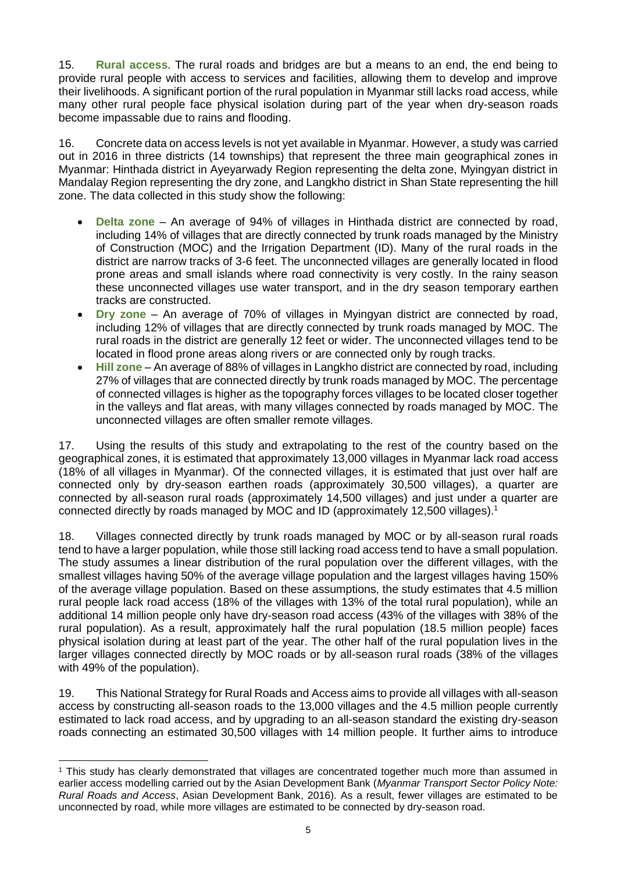15. **Rural access**. The rural roads and bridges are but a means to an end, the end being to provide rural people with access to services and facilities, allowing them to develop and improve their livelihoods. A significant portion of the rural population in Myanmar still lacks road access, while many other rural people face physical isolation during part of the year when dry-season roads become impassable due to rains and flooding.

16. Concrete data on access levels is not yet available in Myanmar. However, a study was carried out in 2016 in three districts (14 townships) that represent the three main geographical zones in Myanmar: Hinthada district in Ayeyarwady Region representing the delta zone, Myingyan district in Mandalay Region representing the dry zone, and Langkho district in Shan State representing the hill zone. The data collected in this study show the following:

- **Delta zone** An average of 94% of villages in Hinthada district are connected by road, including 14% of villages that are directly connected by trunk roads managed by the Ministry of Construction (MOC) and the Irrigation Department (ID). Many of the rural roads in the district are narrow tracks of 3-6 feet. The unconnected villages are generally located in flood prone areas and small islands where road connectivity is very costly. In the rainy season these unconnected villages use water transport, and in the dry season temporary earthen tracks are constructed.
- **Dry zone**  An average of 70% of villages in Myingyan district are connected by road, including 12% of villages that are directly connected by trunk roads managed by MOC. The rural roads in the district are generally 12 feet or wider. The unconnected villages tend to be located in flood prone areas along rivers or are connected only by rough tracks.
- **Hill zone**  An average of 88% of villages in Langkho district are connected by road, including 27% of villages that are connected directly by trunk roads managed by MOC. The percentage of connected villages is higher as the topography forces villages to be located closer together in the valleys and flat areas, with many villages connected by roads managed by MOC. The unconnected villages are often smaller remote villages.

17. Using the results of this study and extrapolating to the rest of the country based on the geographical zones, it is estimated that approximately 13,000 villages in Myanmar lack road access (18% of all villages in Myanmar). Of the connected villages, it is estimated that just over half are connected only by dry-season earthen roads (approximately 30,500 villages), a quarter are connected by all-season rural roads (approximately 14,500 villages) and just under a quarter are connected directly by roads managed by MOC and ID (approximately 12,500 villages).<sup>1</sup>

18. Villages connected directly by trunk roads managed by MOC or by all-season rural roads tend to have a larger population, while those still lacking road access tend to have a small population. The study assumes a linear distribution of the rural population over the different villages, with the smallest villages having 50% of the average village population and the largest villages having 150% of the average village population. Based on these assumptions, the study estimates that 4.5 million rural people lack road access (18% of the villages with 13% of the total rural population), while an additional 14 million people only have dry-season road access (43% of the villages with 38% of the rural population). As a result, approximately half the rural population (18.5 million people) faces physical isolation during at least part of the year. The other half of the rural population lives in the larger villages connected directly by MOC roads or by all-season rural roads (38% of the villages with 49% of the population).

19. This National Strategy for Rural Roads and Access aims to provide all villages with all-season access by constructing all-season roads to the 13,000 villages and the 4.5 million people currently estimated to lack road access, and by upgrading to an all-season standard the existing dry-season roads connecting an estimated 30,500 villages with 14 million people. It further aims to introduce

<sup>-</sup><sup>1</sup> This study has clearly demonstrated that villages are concentrated together much more than assumed in earlier access modelling carried out by the Asian Development Bank (*Myanmar Transport Sector Policy Note: Rural Roads and Access*, Asian Development Bank, 2016). As a result, fewer villages are estimated to be unconnected by road, while more villages are estimated to be connected by dry-season road.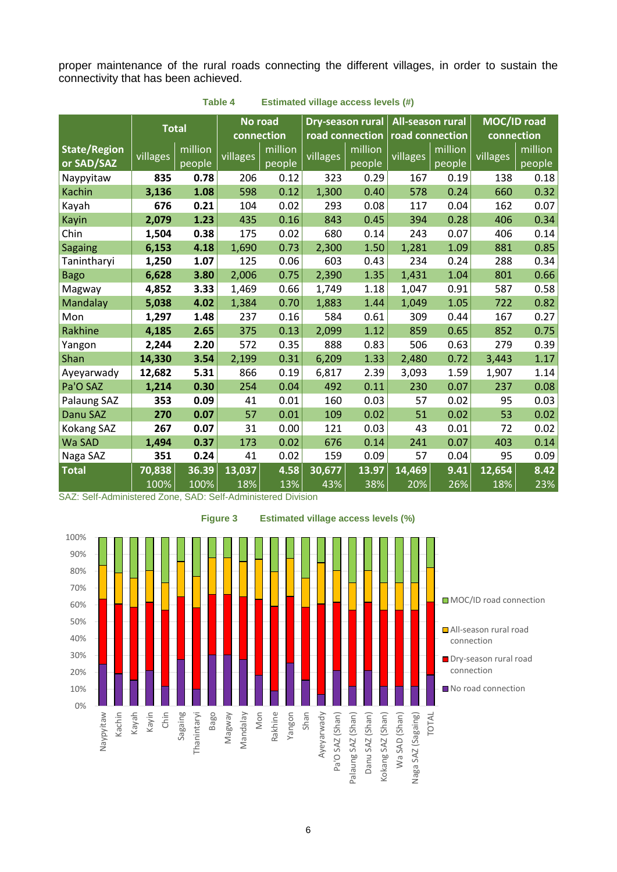proper maintenance of the rural roads connecting the different villages, in order to sustain the connectivity that has been achieved.

|                     | <b>Total</b> |         |          | No road    | Dry-season rural |                 | <b>All-season rural</b> |         | MOC/ID road |         |
|---------------------|--------------|---------|----------|------------|------------------|-----------------|-------------------------|---------|-------------|---------|
|                     |              |         |          | connection |                  | road connection | road connection         |         | connection  |         |
| <b>State/Region</b> | villages     | million | villages | million    | villages         | million         | villages                | million | villages    | million |
| or SAD/SAZ          |              | people  |          | people     |                  | people          |                         | people  |             | people  |
| Naypyitaw           | 835          | 0.78    | 206      | 0.12       | 323              | 0.29            | 167                     | 0.19    | 138         | 0.18    |
| <b>Kachin</b>       | 3,136        | 1.08    | 598      | 0.12       | 1,300            | 0.40            | 578                     | 0.24    | 660         | 0.32    |
| Kayah               | 676          | 0.21    | 104      | 0.02       | 293              | 0.08            | 117                     | 0.04    | 162         | 0.07    |
| Kayin               | 2,079        | 1.23    | 435      | 0.16       | 843              | 0.45            | 394                     | 0.28    | 406         | 0.34    |
| Chin                | 1,504        | 0.38    | 175      | 0.02       | 680              | 0.14            | 243                     | 0.07    | 406         | 0.14    |
| <b>Sagaing</b>      | 6,153        | 4.18    | 1,690    | 0.73       | 2,300            | 1.50            | 1,281                   | 1.09    | 881         | 0.85    |
| Tanintharyi         | 1,250        | 1.07    | 125      | 0.06       | 603              | 0.43            | 234                     | 0.24    | 288         | 0.34    |
| <b>Bago</b>         | 6,628        | 3.80    | 2,006    | 0.75       | 2,390            | 1.35            | 1,431                   | 1.04    | 801         | 0.66    |
| Magway              | 4,852        | 3.33    | 1,469    | 0.66       | 1,749            | 1.18            | 1,047                   | 0.91    | 587         | 0.58    |
| Mandalay            | 5,038        | 4.02    | 1,384    | 0.70       | 1,883            | 1.44            | 1,049                   | 1.05    | 722         | 0.82    |
| Mon                 | 1,297        | 1.48    | 237      | 0.16       | 584              | 0.61            | 309                     | 0.44    | 167         | 0.27    |
| Rakhine             | 4,185        | 2.65    | 375      | 0.13       | 2,099            | 1.12            | 859                     | 0.65    | 852         | 0.75    |
| Yangon              | 2,244        | 2.20    | 572      | 0.35       | 888              | 0.83            | 506                     | 0.63    | 279         | 0.39    |
| Shan                | 14,330       | 3.54    | 2,199    | 0.31       | 6,209            | 1.33            | 2,480                   | 0.72    | 3,443       | 1.17    |
| Ayeyarwady          | 12,682       | 5.31    | 866      | 0.19       | 6,817            | 2.39            | 3,093                   | 1.59    | 1,907       | 1.14    |
| Pa'O SAZ            | 1,214        | 0.30    | 254      | 0.04       | 492              | 0.11            | 230                     | 0.07    | 237         | 0.08    |
| Palaung SAZ         | 353          | 0.09    | 41       | 0.01       | 160              | 0.03            | 57                      | 0.02    | 95          | 0.03    |
| <b>Danu SAZ</b>     | 270          | 0.07    | 57       | 0.01       | 109              | 0.02            | 51                      | 0.02    | 53          | 0.02    |
| Kokang SAZ          | 267          | 0.07    | 31       | 0.00       | 121              | 0.03            | 43                      | 0.01    | 72          | 0.02    |
| Wa SAD              | 1,494        | 0.37    | 173      | 0.02       | 676              | 0.14            | 241                     | 0.07    | 403         | 0.14    |
| Naga SAZ            | 351          | 0.24    | 41       | 0.02       | 159              | 0.09            | 57                      | 0.04    | 95          | 0.09    |
| <b>Total</b>        | 70,838       | 36.39   | 13,037   | 4.58       | 30,677           | 13.97           | 14,469                  | 9.41    | 12,654      | 8.42    |
|                     | 100%         | 100%    | 18%      | 13%        | 43%              | 38%             | 20%                     | 26%     | 18%         | 23%     |

**Table 4 Estimated village access levels (#)**

SAZ: Self-Administered Zone, SAD: Self-Administered Division

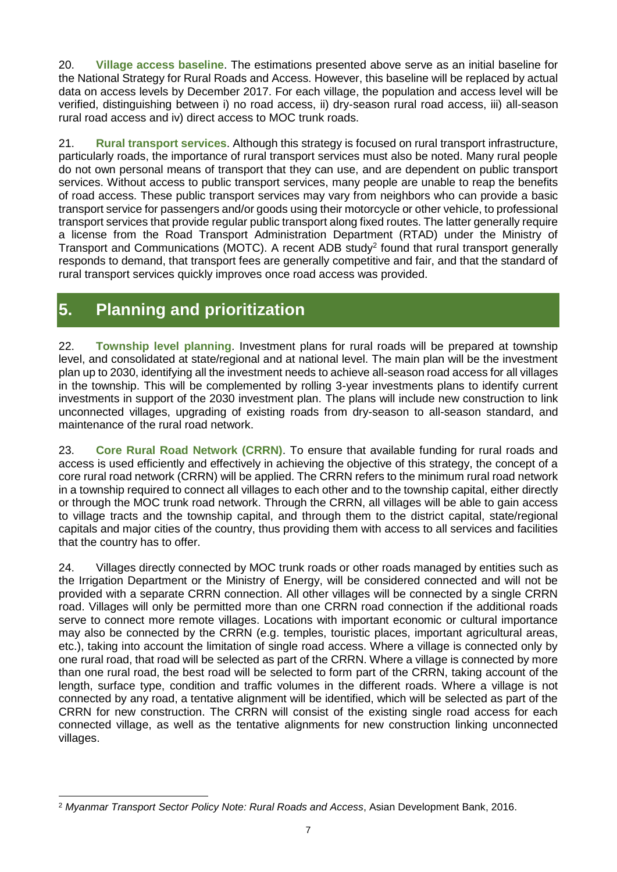20. **Village access baseline**. The estimations presented above serve as an initial baseline for the National Strategy for Rural Roads and Access. However, this baseline will be replaced by actual data on access levels by December 2017. For each village, the population and access level will be verified, distinguishing between i) no road access, ii) dry-season rural road access, iii) all-season rural road access and iv) direct access to MOC trunk roads.

21. **Rural transport services**. Although this strategy is focused on rural transport infrastructure, particularly roads, the importance of rural transport services must also be noted. Many rural people do not own personal means of transport that they can use, and are dependent on public transport services. Without access to public transport services, many people are unable to reap the benefits of road access. These public transport services may vary from neighbors who can provide a basic transport service for passengers and/or goods using their motorcycle or other vehicle, to professional transport services that provide regular public transport along fixed routes. The latter generally require a license from the Road Transport Administration Department (RTAD) under the Ministry of Transport and Communications (MOTC). A recent ADB study<sup>2</sup> found that rural transport generally responds to demand, that transport fees are generally competitive and fair, and that the standard of rural transport services quickly improves once road access was provided.

# <span id="page-8-0"></span>**5. Planning and prioritization**

22. **Township level planning**. Investment plans for rural roads will be prepared at township level, and consolidated at state/regional and at national level. The main plan will be the investment plan up to 2030, identifying all the investment needs to achieve all-season road access for all villages in the township. This will be complemented by rolling 3-year investments plans to identify current investments in support of the 2030 investment plan. The plans will include new construction to link unconnected villages, upgrading of existing roads from dry-season to all-season standard, and maintenance of the rural road network.

23. **Core Rural Road Network (CRRN)**. To ensure that available funding for rural roads and access is used efficiently and effectively in achieving the objective of this strategy, the concept of a core rural road network (CRRN) will be applied. The CRRN refers to the minimum rural road network in a township required to connect all villages to each other and to the township capital, either directly or through the MOC trunk road network. Through the CRRN, all villages will be able to gain access to village tracts and the township capital, and through them to the district capital, state/regional capitals and major cities of the country, thus providing them with access to all services and facilities that the country has to offer.

24. Villages directly connected by MOC trunk roads or other roads managed by entities such as the Irrigation Department or the Ministry of Energy, will be considered connected and will not be provided with a separate CRRN connection. All other villages will be connected by a single CRRN road. Villages will only be permitted more than one CRRN road connection if the additional roads serve to connect more remote villages. Locations with important economic or cultural importance may also be connected by the CRRN (e.g. temples, touristic places, important agricultural areas, etc.), taking into account the limitation of single road access. Where a village is connected only by one rural road, that road will be selected as part of the CRRN. Where a village is connected by more than one rural road, the best road will be selected to form part of the CRRN, taking account of the length, surface type, condition and traffic volumes in the different roads. Where a village is not connected by any road, a tentative alignment will be identified, which will be selected as part of the CRRN for new construction. The CRRN will consist of the existing single road access for each connected village, as well as the tentative alignments for new construction linking unconnected villages.

<sup>-</sup><sup>2</sup> *Myanmar Transport Sector Policy Note: Rural Roads and Access*, Asian Development Bank, 2016.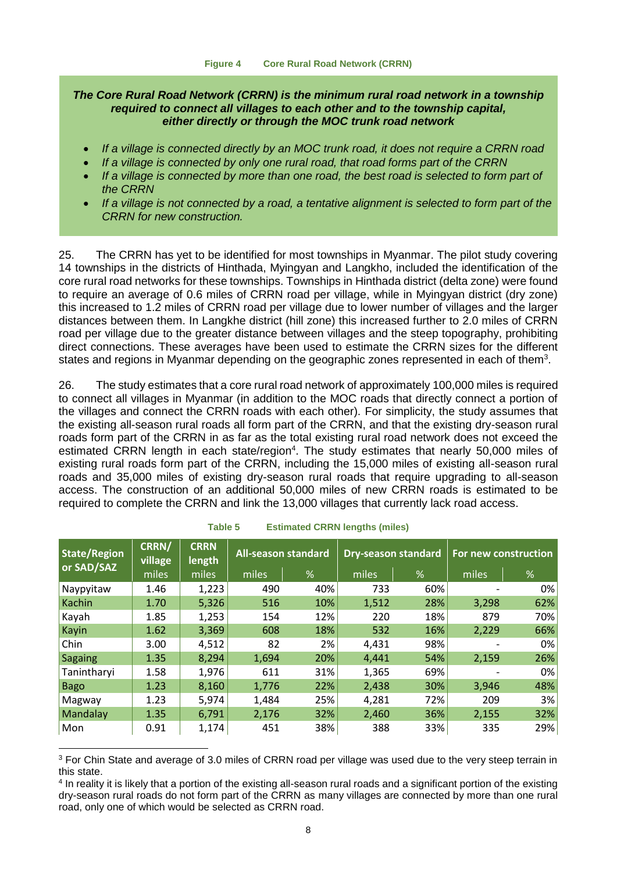#### *The Core Rural Road Network (CRRN) is the minimum rural road network in a township required to connect all villages to each other and to the township capital, either directly or through the MOC trunk road network*

- *If a village is connected directly by an MOC trunk road, it does not require a CRRN road*
- *If a village is connected by only one rural road, that road forms part of the CRRN*
- *If a village is connected by more than one road, the best road is selected to form part of the CRRN*
- *If a village is not connected by a road, a tentative alignment is selected to form part of the CRRN for new construction.*

25. The CRRN has yet to be identified for most townships in Myanmar. The pilot study covering 14 townships in the districts of Hinthada, Myingyan and Langkho, included the identification of the core rural road networks for these townships. Townships in Hinthada district (delta zone) were found to require an average of 0.6 miles of CRRN road per village, while in Myingyan district (dry zone) this increased to 1.2 miles of CRRN road per village due to lower number of villages and the larger distances between them. In Langkhe district (hill zone) this increased further to 2.0 miles of CRRN road per village due to the greater distance between villages and the steep topography, prohibiting direct connections. These averages have been used to estimate the CRRN sizes for the different states and regions in Myanmar depending on the geographic zones represented in each of them<sup>3</sup>.

26. The study estimates that a core rural road network of approximately 100,000 miles is required to connect all villages in Myanmar (in addition to the MOC roads that directly connect a portion of the villages and connect the CRRN roads with each other). For simplicity, the study assumes that the existing all-season rural roads all form part of the CRRN, and that the existing dry-season rural roads form part of the CRRN in as far as the total existing rural road network does not exceed the estimated CRRN length in each state/region<sup>4</sup>. The study estimates that nearly 50,000 miles of existing rural roads form part of the CRRN, including the 15,000 miles of existing all-season rural roads and 35,000 miles of existing dry-season rural roads that require upgrading to all-season access. The construction of an additional 50,000 miles of new CRRN roads is estimated to be required to complete the CRRN and link the 13,000 villages that currently lack road access.

| <b>State/Region</b> | CRRN/<br><b>CRRN</b><br>village<br>length |       |       | <b>All-season standard</b> |       | <b>Dry-season standard</b> |       | For new construction |  |  |
|---------------------|-------------------------------------------|-------|-------|----------------------------|-------|----------------------------|-------|----------------------|--|--|
| <b>or SAD/SAZ</b>   | miles                                     | miles | miles | %                          | miles | $\%$                       | miles | %                    |  |  |
| Naypyitaw           | 1.46                                      | 1,223 | 490   | 40%                        | 733   | 60%                        |       | $0\%$                |  |  |
| Kachin              | 1.70                                      | 5,326 | 516   | 10%                        | 1,512 | 28%                        | 3,298 | 62%                  |  |  |
| Kayah               | 1.85                                      | 1,253 | 154   | 12%                        | 220   | 18%                        | 879   | 70%                  |  |  |
| Kayin               | 1.62                                      | 3,369 | 608   | 18%                        | 532   | 16%                        | 2,229 | 66%                  |  |  |
| Chin                | 3.00                                      | 4,512 | 82    | 2%                         | 4,431 | 98%                        |       | 0%                   |  |  |
| <b>Sagaing</b>      | 1.35                                      | 8,294 | 1,694 | 20%                        | 4,441 | 54%                        | 2,159 | 26%                  |  |  |
| Tanintharyi         | 1.58                                      | 1,976 | 611   | 31%                        | 1,365 | 69%                        |       | $0\%$                |  |  |
| <b>Bago</b>         | 1.23                                      | 8,160 | 1,776 | 22%                        | 2,438 | 30%                        | 3,946 | 48%                  |  |  |
| Magway              | 1.23                                      | 5,974 | 1,484 | 25%                        | 4,281 | 72%                        | 209   | 3%                   |  |  |
| Mandalay            | 1.35                                      | 6,791 | 2,176 | 32%                        | 2,460 | 36%                        | 2,155 | 32%                  |  |  |
| Mon                 | 0.91                                      | 1,174 | 451   | 38%                        | 388   | 33%                        | 335   | 29%                  |  |  |

**Table 5 Estimated CRRN lengths (miles)**

-

<sup>&</sup>lt;sup>3</sup> For Chin State and average of 3.0 miles of CRRN road per village was used due to the very steep terrain in this state.

<sup>4</sup> In reality it is likely that a portion of the existing all-season rural roads and a significant portion of the existing dry-season rural roads do not form part of the CRRN as many villages are connected by more than one rural road, only one of which would be selected as CRRN road.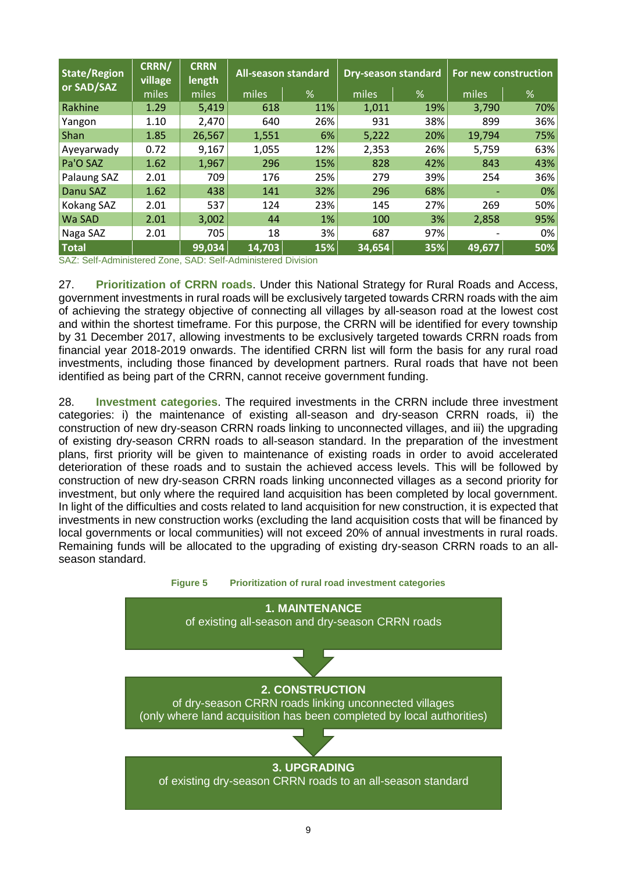| <b>State/Region</b><br>or SAD/SAZ | CRRN/<br><b>village</b> | <b>CRRN</b><br>length | <b>All-season standard</b> |     | <b>Dry-season standard</b> |      | For new construction |     |  |
|-----------------------------------|-------------------------|-----------------------|----------------------------|-----|----------------------------|------|----------------------|-----|--|
|                                   | miles                   | miles                 | miles                      | %   | miles                      | $\%$ | miles                | %   |  |
| Rakhine                           | 1.29                    | 5,419                 | 618                        | 11% | 1,011                      | 19%  | 3,790                | 70% |  |
| Yangon                            | 1.10                    | 2,470                 | 640                        | 26% | 931                        | 38%  | 899                  | 36% |  |
| Shan                              | 1.85                    | 26,567                | 1,551                      | 6%  | 5,222                      | 20%  | 19,794               | 75% |  |
| Ayeyarwady                        | 0.72                    | 9,167                 | 1,055                      | 12% | 2,353                      | 26%  | 5,759                | 63% |  |
| Pa'O SAZ                          | 1.62                    | 1,967                 | 296                        | 15% | 828                        | 42%  | 843                  | 43% |  |
| Palaung SAZ                       | 2.01                    | 709                   | 176                        | 25% | 279                        | 39%  | 254                  | 36% |  |
| Danu SAZ                          | 1.62                    | 438                   | 141                        | 32% | 296                        | 68%  |                      | 0%  |  |
| Kokang SAZ                        | 2.01                    | 537                   | 124                        | 23% | 145                        | 27%  | 269                  | 50% |  |
| Wa SAD                            | 2.01                    | 3,002                 | 44                         | 1%  | 100                        | 3%   | 2,858                | 95% |  |
| Naga SAZ                          | 2.01                    | 705                   | 18                         | 3%  | 687                        | 97%  |                      | 0%  |  |
| <b>Total</b>                      |                         | 99,034                | 14,703                     | 15% | 34,654                     | 35%  | 49,677               | 50% |  |

SAZ: Self-Administered Zone, SAD: Self-Administered Division

27. **Prioritization of CRRN roads**. Under this National Strategy for Rural Roads and Access, government investments in rural roads will be exclusively targeted towards CRRN roads with the aim of achieving the strategy objective of connecting all villages by all-season road at the lowest cost and within the shortest timeframe. For this purpose, the CRRN will be identified for every township by 31 December 2017, allowing investments to be exclusively targeted towards CRRN roads from financial year 2018-2019 onwards. The identified CRRN list will form the basis for any rural road investments, including those financed by development partners. Rural roads that have not been identified as being part of the CRRN, cannot receive government funding.

28. **Investment categories**. The required investments in the CRRN include three investment categories: i) the maintenance of existing all-season and dry-season CRRN roads, ii) the construction of new dry-season CRRN roads linking to unconnected villages, and iii) the upgrading of existing dry-season CRRN roads to all-season standard. In the preparation of the investment plans, first priority will be given to maintenance of existing roads in order to avoid accelerated deterioration of these roads and to sustain the achieved access levels. This will be followed by construction of new dry-season CRRN roads linking unconnected villages as a second priority for investment, but only where the required land acquisition has been completed by local government. In light of the difficulties and costs related to land acquisition for new construction, it is expected that investments in new construction works (excluding the land acquisition costs that will be financed by local governments or local communities) will not exceed 20% of annual investments in rural roads. Remaining funds will be allocated to the upgrading of existing dry-season CRRN roads to an allseason standard.

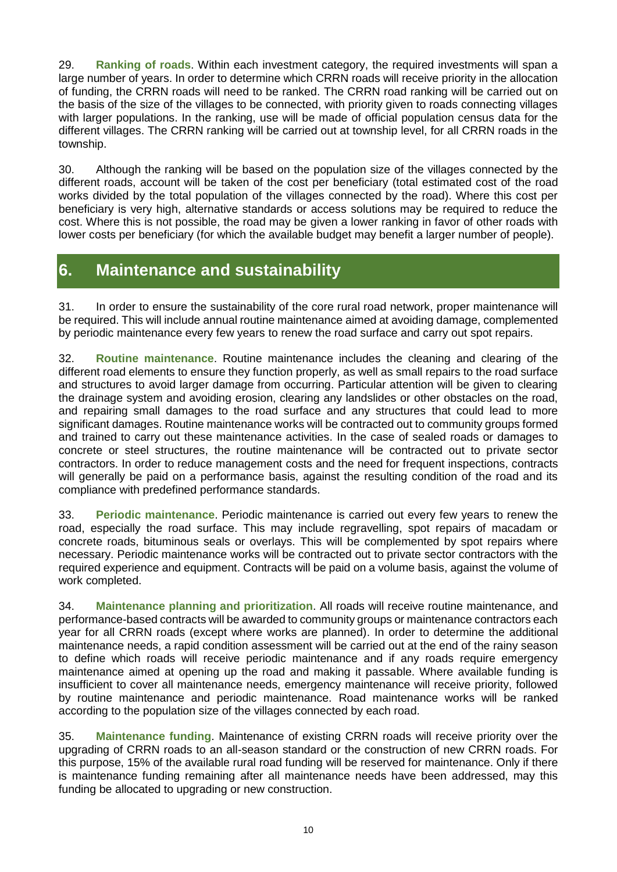29. **Ranking of roads**. Within each investment category, the required investments will span a large number of years. In order to determine which CRRN roads will receive priority in the allocation of funding, the CRRN roads will need to be ranked. The CRRN road ranking will be carried out on the basis of the size of the villages to be connected, with priority given to roads connecting villages with larger populations. In the ranking, use will be made of official population census data for the different villages. The CRRN ranking will be carried out at township level, for all CRRN roads in the township.

30. Although the ranking will be based on the population size of the villages connected by the different roads, account will be taken of the cost per beneficiary (total estimated cost of the road works divided by the total population of the villages connected by the road). Where this cost per beneficiary is very high, alternative standards or access solutions may be required to reduce the cost. Where this is not possible, the road may be given a lower ranking in favor of other roads with lower costs per beneficiary (for which the available budget may benefit a larger number of people).

# <span id="page-11-0"></span>**6. Maintenance and sustainability**

31. In order to ensure the sustainability of the core rural road network, proper maintenance will be required. This will include annual routine maintenance aimed at avoiding damage, complemented by periodic maintenance every few years to renew the road surface and carry out spot repairs.

32. **Routine maintenance**. Routine maintenance includes the cleaning and clearing of the different road elements to ensure they function properly, as well as small repairs to the road surface and structures to avoid larger damage from occurring. Particular attention will be given to clearing the drainage system and avoiding erosion, clearing any landslides or other obstacles on the road, and repairing small damages to the road surface and any structures that could lead to more significant damages. Routine maintenance works will be contracted out to community groups formed and trained to carry out these maintenance activities. In the case of sealed roads or damages to concrete or steel structures, the routine maintenance will be contracted out to private sector contractors. In order to reduce management costs and the need for frequent inspections, contracts will generally be paid on a performance basis, against the resulting condition of the road and its compliance with predefined performance standards.

33. **Periodic maintenance**. Periodic maintenance is carried out every few years to renew the road, especially the road surface. This may include regravelling, spot repairs of macadam or concrete roads, bituminous seals or overlays. This will be complemented by spot repairs where necessary. Periodic maintenance works will be contracted out to private sector contractors with the required experience and equipment. Contracts will be paid on a volume basis, against the volume of work completed.

34. **Maintenance planning and prioritization**. All roads will receive routine maintenance, and performance-based contracts will be awarded to community groups or maintenance contractors each year for all CRRN roads (except where works are planned). In order to determine the additional maintenance needs, a rapid condition assessment will be carried out at the end of the rainy season to define which roads will receive periodic maintenance and if any roads require emergency maintenance aimed at opening up the road and making it passable. Where available funding is insufficient to cover all maintenance needs, emergency maintenance will receive priority, followed by routine maintenance and periodic maintenance. Road maintenance works will be ranked according to the population size of the villages connected by each road.

35. **Maintenance funding**. Maintenance of existing CRRN roads will receive priority over the upgrading of CRRN roads to an all-season standard or the construction of new CRRN roads. For this purpose, 15% of the available rural road funding will be reserved for maintenance. Only if there is maintenance funding remaining after all maintenance needs have been addressed, may this funding be allocated to upgrading or new construction.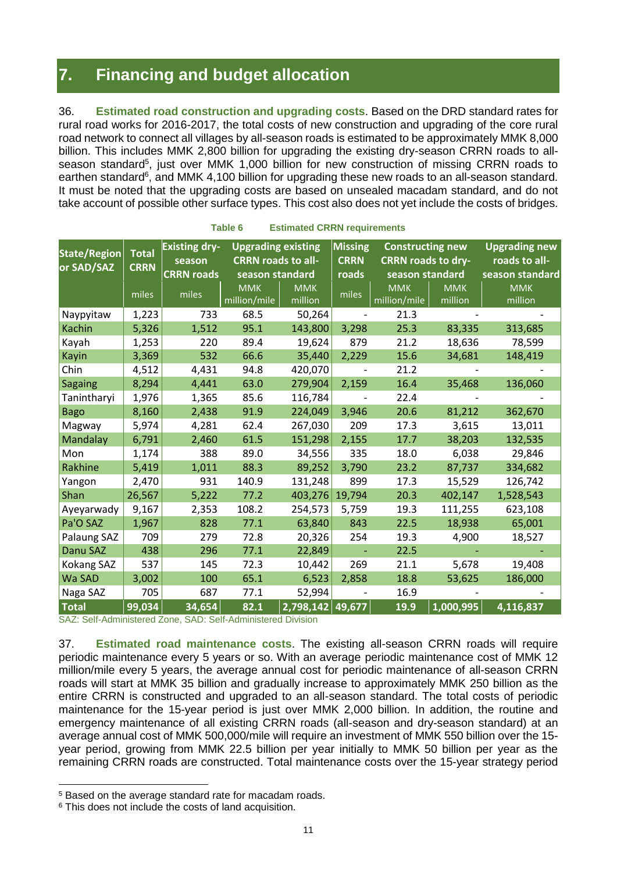# <span id="page-12-0"></span>**7. Financing and budget allocation**

36. **Estimated road construction and upgrading costs**. Based on the DRD standard rates for rural road works for 2016-2017, the total costs of new construction and upgrading of the core rural road network to connect all villages by all-season roads is estimated to be approximately MMK 8,000 billion. This includes MMK 2,800 billion for upgrading the existing dry-season CRRN roads to allseason standard<sup>5</sup>, just over MMK 1,000 billion for new construction of missing CRRN roads to earthen standard<sup>6</sup>, and MMK 4,100 billion for upgrading these new roads to an all-season standard. It must be noted that the upgrading costs are based on unsealed macadam standard, and do not take account of possible other surface types. This cost also does not yet include the costs of bridges.

| <b>State/Region</b><br>or SAD/SAZ | <b>Total</b><br><b>CRRN</b> | <b>Existing dry-</b><br><b>Upgrading existing</b><br><b>CRRN roads to all-</b><br>season |                 | <b>Missing</b><br><b>Constructing new</b><br><b>CRRN roads to dry-</b><br><b>CRRN</b> |                          |                 | <b>Upgrading new</b><br>roads to all- |                 |
|-----------------------------------|-----------------------------|------------------------------------------------------------------------------------------|-----------------|---------------------------------------------------------------------------------------|--------------------------|-----------------|---------------------------------------|-----------------|
|                                   |                             | <b>CRRN roads</b>                                                                        | season standard |                                                                                       | roads                    | season standard |                                       | season standard |
|                                   | miles                       | miles                                                                                    | <b>MMK</b>      | <b>MMK</b>                                                                            | miles                    | <b>MMK</b>      | <b>MMK</b>                            | <b>MMK</b>      |
|                                   |                             |                                                                                          | million/mile    | million                                                                               |                          | million/mile    | million                               | million         |
| Naypyitaw                         | 1,223                       | 733                                                                                      | 68.5            | 50,264                                                                                |                          | 21.3            |                                       |                 |
| <b>Kachin</b>                     | 5,326                       | 1,512                                                                                    | 95.1            | 143,800                                                                               | 3,298                    | 25.3            | 83,335                                | 313,685         |
| Kayah                             | 1,253                       | 220                                                                                      | 89.4            | 19,624                                                                                | 879                      | 21.2            | 18,636                                | 78,599          |
| Kayin                             | 3,369                       | 532                                                                                      | 66.6            | 35,440                                                                                | 2,229                    | 15.6            | 34,681                                | 148,419         |
| Chin                              | 4,512                       | 4,431                                                                                    | 94.8            | 420,070                                                                               | $\overline{\phantom{a}}$ | 21.2            |                                       |                 |
| <b>Sagaing</b>                    | 8,294                       | 4,441                                                                                    | 63.0            | 279,904                                                                               | 2,159                    | 16.4            | 35,468                                | 136,060         |
| Tanintharyi                       | 1,976                       | 1,365                                                                                    | 85.6            | 116,784                                                                               |                          | 22.4            |                                       |                 |
| <b>Bago</b>                       | 8,160                       | 2,438                                                                                    | 91.9            | 224,049                                                                               | 3,946                    | 20.6            | 81,212                                | 362,670         |
| Magway                            | 5,974                       | 4,281                                                                                    | 62.4            | 267,030                                                                               | 209                      | 17.3            | 3,615                                 | 13,011          |
| Mandalay                          | 6,791                       | 2,460                                                                                    | 61.5            | 151,298                                                                               | 2,155                    | 17.7            | 38,203                                | 132,535         |
| Mon                               | 1,174                       | 388                                                                                      | 89.0            | 34,556                                                                                | 335                      | 18.0            | 6,038                                 | 29,846          |
| Rakhine                           | 5,419                       | 1,011                                                                                    | 88.3            | 89,252                                                                                | 3,790                    | 23.2            | 87,737                                | 334,682         |
| Yangon                            | 2,470                       | 931                                                                                      | 140.9           | 131,248                                                                               | 899                      | 17.3            | 15,529                                | 126,742         |
| Shan                              | 26,567                      | 5,222                                                                                    | 77.2            | 403,276                                                                               | 19,794                   | 20.3            | 402,147                               | 1,528,543       |
| Ayeyarwady                        | 9,167                       | 2,353                                                                                    | 108.2           | 254,573                                                                               | 5,759                    | 19.3            | 111,255                               | 623,108         |
| Pa'O SAZ                          | 1,967                       | 828                                                                                      | 77.1            | 63,840                                                                                | 843                      | 22.5            | 18,938                                | 65,001          |
| Palaung SAZ                       | 709                         | 279                                                                                      | 72.8            | 20,326                                                                                | 254                      | 19.3            | 4,900                                 | 18,527          |
| Danu SAZ                          | 438                         | 296                                                                                      | 77.1            | 22,849                                                                                |                          | 22.5            |                                       |                 |
| Kokang SAZ                        | 537                         | 145                                                                                      | 72.3            | 10,442                                                                                | 269                      | 21.1            | 5,678                                 | 19,408          |
| Wa SAD                            | 3,002                       | 100                                                                                      | 65.1            | 6,523                                                                                 | 2,858                    | 18.8            | 53,625                                | 186,000         |
| Naga SAZ                          | 705                         | 687                                                                                      | 77.1            | 52,994                                                                                |                          | 16.9            |                                       |                 |
| <b>Total</b>                      | 99,034                      | 34,654                                                                                   | 82.1            | $2,798,142$ 49,677                                                                    |                          | 19.9            | 1,000,995                             | 4,116,837       |

**Table 6 Estimated CRRN requirements**

SAZ: Self-Administered Zone, SAD: Self-Administered Division

37. **Estimated road maintenance costs**. The existing all-season CRRN roads will require periodic maintenance every 5 years or so. With an average periodic maintenance cost of MMK 12 million/mile every 5 years, the average annual cost for periodic maintenance of all-season CRRN roads will start at MMK 35 billion and gradually increase to approximately MMK 250 billion as the entire CRRN is constructed and upgraded to an all-season standard. The total costs of periodic maintenance for the 15-year period is just over MMK 2,000 billion. In addition, the routine and emergency maintenance of all existing CRRN roads (all-season and dry-season standard) at an average annual cost of MMK 500,000/mile will require an investment of MMK 550 billion over the 15 year period, growing from MMK 22.5 billion per year initially to MMK 50 billion per year as the remaining CRRN roads are constructed. Total maintenance costs over the 15-year strategy period

-

<sup>5</sup> Based on the average standard rate for macadam roads.

<sup>&</sup>lt;sup>6</sup> This does not include the costs of land acquisition.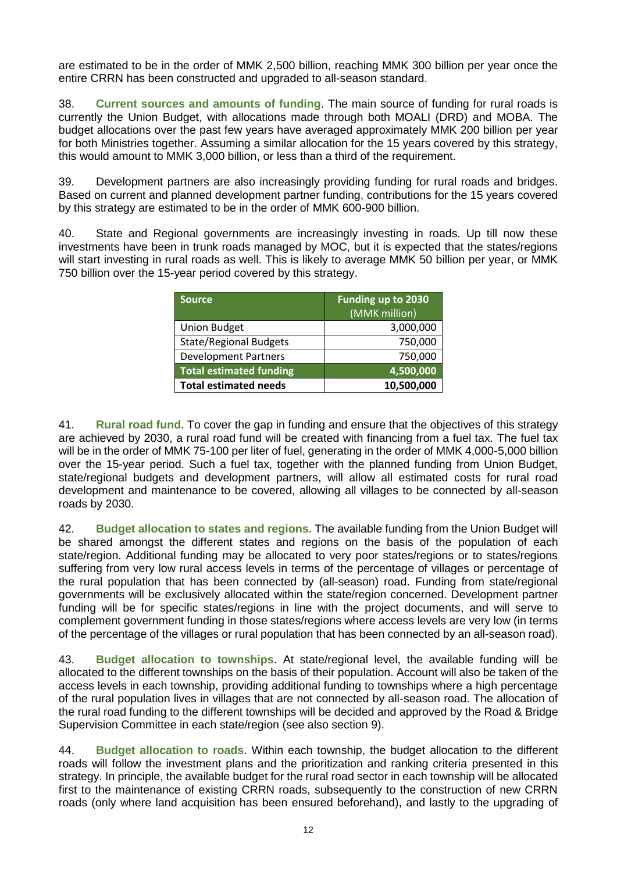are estimated to be in the order of MMK 2,500 billion, reaching MMK 300 billion per year once the entire CRRN has been constructed and upgraded to all-season standard.

38. **Current sources and amounts of funding**. The main source of funding for rural roads is currently the Union Budget, with allocations made through both MOALI (DRD) and MOBA. The budget allocations over the past few years have averaged approximately MMK 200 billion per year for both Ministries together. Assuming a similar allocation for the 15 years covered by this strategy, this would amount to MMK 3,000 billion, or less than a third of the requirement.

39. Development partners are also increasingly providing funding for rural roads and bridges. Based on current and planned development partner funding, contributions for the 15 years covered by this strategy are estimated to be in the order of MMK 600-900 billion.

40. State and Regional governments are increasingly investing in roads. Up till now these investments have been in trunk roads managed by MOC, but it is expected that the states/regions will start investing in rural roads as well. This is likely to average MMK 50 billion per year, or MMK 750 billion over the 15-year period covered by this strategy.

| <b>Source</b>                  | Funding up to 2030 |
|--------------------------------|--------------------|
|                                | (MMK million)      |
| <b>Union Budget</b>            | 3,000,000          |
| <b>State/Regional Budgets</b>  | 750,000            |
| <b>Development Partners</b>    | 750,000            |
| <b>Total estimated funding</b> | 4,500,000          |
| <b>Total estimated needs</b>   | 10,500,000         |

41. **Rural road fund**. To cover the gap in funding and ensure that the objectives of this strategy are achieved by 2030, a rural road fund will be created with financing from a fuel tax. The fuel tax will be in the order of MMK 75-100 per liter of fuel, generating in the order of MMK 4,000-5,000 billion over the 15-year period. Such a fuel tax, together with the planned funding from Union Budget, state/regional budgets and development partners, will allow all estimated costs for rural road development and maintenance to be covered, allowing all villages to be connected by all-season roads by 2030.

42. **Budget allocation to states and regions**. The available funding from the Union Budget will be shared amongst the different states and regions on the basis of the population of each state/region. Additional funding may be allocated to very poor states/regions or to states/regions suffering from very low rural access levels in terms of the percentage of villages or percentage of the rural population that has been connected by (all-season) road. Funding from state/regional governments will be exclusively allocated within the state/region concerned. Development partner funding will be for specific states/regions in line with the project documents, and will serve to complement government funding in those states/regions where access levels are very low (in terms of the percentage of the villages or rural population that has been connected by an all-season road).

43. **Budget allocation to townships**. At state/regional level, the available funding will be allocated to the different townships on the basis of their population. Account will also be taken of the access levels in each township, providing additional funding to townships where a high percentage of the rural population lives in villages that are not connected by all-season road. The allocation of the rural road funding to the different townships will be decided and approved by the Road & Bridge Supervision Committee in each state/region (see also section [9\)](#page-14-1).

44. **Budget allocation to roads**. Within each township, the budget allocation to the different roads will follow the investment plans and the prioritization and ranking criteria presented in this strategy. In principle, the available budget for the rural road sector in each township will be allocated first to the maintenance of existing CRRN roads, subsequently to the construction of new CRRN roads (only where land acquisition has been ensured beforehand), and lastly to the upgrading of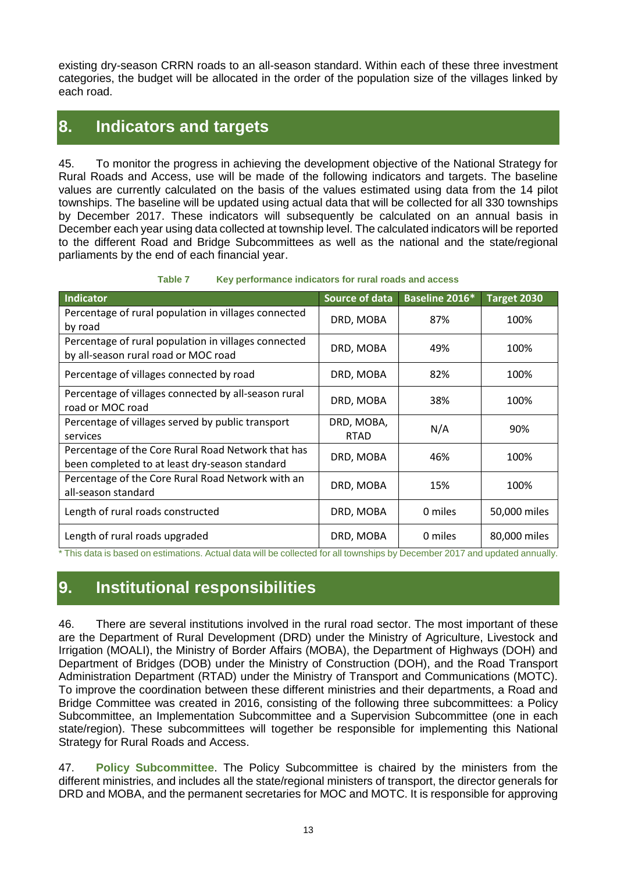existing dry-season CRRN roads to an all-season standard. Within each of these three investment categories, the budget will be allocated in the order of the population size of the villages linked by each road.

### <span id="page-14-0"></span>**8. Indicators and targets**

45. To monitor the progress in achieving the development objective of the National Strategy for Rural Roads and Access, use will be made of the following indicators and targets. The baseline values are currently calculated on the basis of the values estimated using data from the 14 pilot townships. The baseline will be updated using actual data that will be collected for all 330 townships by December 2017. These indicators will subsequently be calculated on an annual basis in December each year using data collected at township level. The calculated indicators will be reported to the different Road and Bridge Subcommittees as well as the national and the state/regional parliaments by the end of each financial year.

| Table 7 | Key performance indicators for rural roads and access |  |  |
|---------|-------------------------------------------------------|--|--|
|         |                                                       |  |  |

| <b>Indicator</b>                                                                                     | <b>Source of data</b>     | Baseline 2016* | Target 2030  |
|------------------------------------------------------------------------------------------------------|---------------------------|----------------|--------------|
| Percentage of rural population in villages connected<br>by road                                      | DRD, MOBA                 | 87%            | 100%         |
| Percentage of rural population in villages connected<br>by all-season rural road or MOC road         | DRD, MOBA                 | 49%            | 100%         |
| Percentage of villages connected by road                                                             | DRD, MOBA                 | 82%            | 100%         |
| Percentage of villages connected by all-season rural<br>road or MOC road                             | DRD, MOBA                 | 38%            | 100%         |
| Percentage of villages served by public transport<br>services                                        | DRD, MOBA,<br><b>RTAD</b> | N/A            | 90%          |
| Percentage of the Core Rural Road Network that has<br>been completed to at least dry-season standard | DRD, MOBA                 | 46%            | 100%         |
| Percentage of the Core Rural Road Network with an<br>all-season standard                             | DRD, MOBA                 | 15%            | 100%         |
| Length of rural roads constructed                                                                    | DRD, MOBA                 | 0 miles        | 50,000 miles |
| Length of rural roads upgraded                                                                       | DRD, MOBA                 | 0 miles        | 80,000 miles |

<span id="page-14-1"></span>\* This data is based on estimations. Actual data will be collected for all townships by December 2017 and updated annually.

## **9. Institutional responsibilities**

46. There are several institutions involved in the rural road sector. The most important of these are the Department of Rural Development (DRD) under the Ministry of Agriculture, Livestock and Irrigation (MOALI), the Ministry of Border Affairs (MOBA), the Department of Highways (DOH) and Department of Bridges (DOB) under the Ministry of Construction (DOH), and the Road Transport Administration Department (RTAD) under the Ministry of Transport and Communications (MOTC). To improve the coordination between these different ministries and their departments, a Road and Bridge Committee was created in 2016, consisting of the following three subcommittees: a Policy Subcommittee, an Implementation Subcommittee and a Supervision Subcommittee (one in each state/region). These subcommittees will together be responsible for implementing this National Strategy for Rural Roads and Access.

47. **Policy Subcommittee**. The Policy Subcommittee is chaired by the ministers from the different ministries, and includes all the state/regional ministers of transport, the director generals for DRD and MOBA, and the permanent secretaries for MOC and MOTC. It is responsible for approving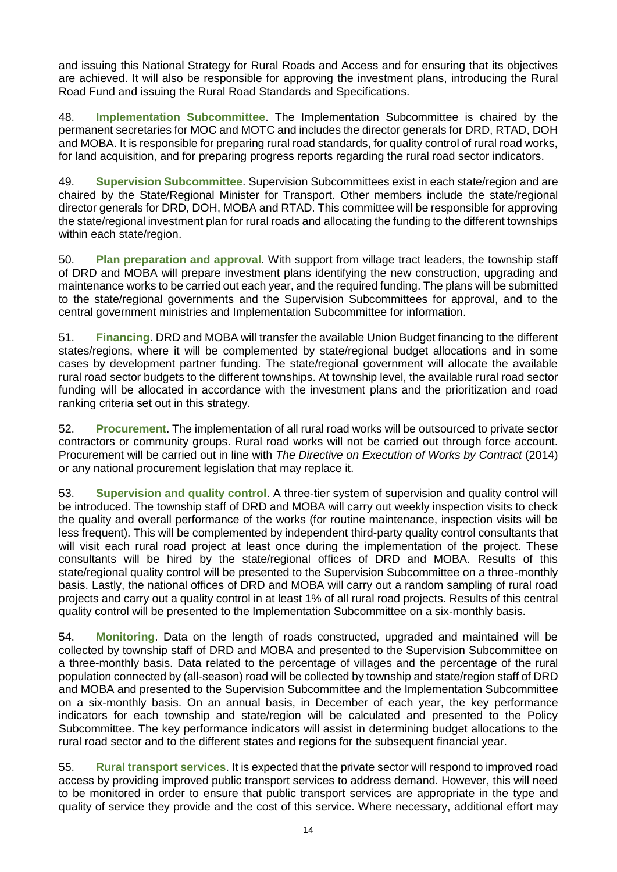and issuing this National Strategy for Rural Roads and Access and for ensuring that its objectives are achieved. It will also be responsible for approving the investment plans, introducing the Rural Road Fund and issuing the Rural Road Standards and Specifications.

48. **Implementation Subcommittee**. The Implementation Subcommittee is chaired by the permanent secretaries for MOC and MOTC and includes the director generals for DRD, RTAD, DOH and MOBA. It is responsible for preparing rural road standards, for quality control of rural road works, for land acquisition, and for preparing progress reports regarding the rural road sector indicators.

49. **Supervision Subcommittee**. Supervision Subcommittees exist in each state/region and are chaired by the State/Regional Minister for Transport. Other members include the state/regional director generals for DRD, DOH, MOBA and RTAD. This committee will be responsible for approving the state/regional investment plan for rural roads and allocating the funding to the different townships within each state/region.

50. **Plan preparation and approval**. With support from village tract leaders, the township staff of DRD and MOBA will prepare investment plans identifying the new construction, upgrading and maintenance works to be carried out each year, and the required funding. The plans will be submitted to the state/regional governments and the Supervision Subcommittees for approval, and to the central government ministries and Implementation Subcommittee for information.

51. **Financing**. DRD and MOBA will transfer the available Union Budget financing to the different states/regions, where it will be complemented by state/regional budget allocations and in some cases by development partner funding. The state/regional government will allocate the available rural road sector budgets to the different townships. At township level, the available rural road sector funding will be allocated in accordance with the investment plans and the prioritization and road ranking criteria set out in this strategy.

52. **Procurement**. The implementation of all rural road works will be outsourced to private sector contractors or community groups. Rural road works will not be carried out through force account. Procurement will be carried out in line with *The Directive on Execution of Works by Contract* (2014) or any national procurement legislation that may replace it.

53. **Supervision and quality control**. A three-tier system of supervision and quality control will be introduced. The township staff of DRD and MOBA will carry out weekly inspection visits to check the quality and overall performance of the works (for routine maintenance, inspection visits will be less frequent). This will be complemented by independent third-party quality control consultants that will visit each rural road project at least once during the implementation of the project. These consultants will be hired by the state/regional offices of DRD and MOBA. Results of this state/regional quality control will be presented to the Supervision Subcommittee on a three-monthly basis. Lastly, the national offices of DRD and MOBA will carry out a random sampling of rural road projects and carry out a quality control in at least 1% of all rural road projects. Results of this central quality control will be presented to the Implementation Subcommittee on a six-monthly basis.

54. **Monitoring**. Data on the length of roads constructed, upgraded and maintained will be collected by township staff of DRD and MOBA and presented to the Supervision Subcommittee on a three-monthly basis. Data related to the percentage of villages and the percentage of the rural population connected by (all-season) road will be collected by township and state/region staff of DRD and MOBA and presented to the Supervision Subcommittee and the Implementation Subcommittee on a six-monthly basis. On an annual basis, in December of each year, the key performance indicators for each township and state/region will be calculated and presented to the Policy Subcommittee. The key performance indicators will assist in determining budget allocations to the rural road sector and to the different states and regions for the subsequent financial year.

55. **Rural transport services**. It is expected that the private sector will respond to improved road access by providing improved public transport services to address demand. However, this will need to be monitored in order to ensure that public transport services are appropriate in the type and quality of service they provide and the cost of this service. Where necessary, additional effort may